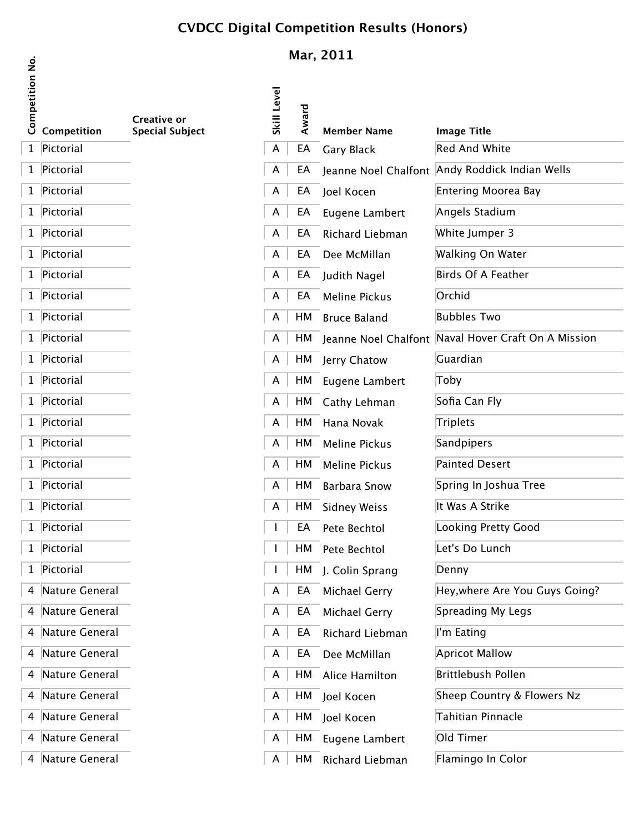## **CVDCC Digital Competition Results (Honors)**

| <b>Competition No.</b> | Competition    | Creative or<br><b>Special Subject</b> |
|------------------------|----------------|---------------------------------------|
| $\mathbf{1}$           | Pictorial      |                                       |
| $\mathbf 1$            | Pictorial      |                                       |
| 1                      | Pictorial      |                                       |
| 1                      | Pictorial      |                                       |
| 1                      | Pictorial      |                                       |
| 1                      | Pictorial      |                                       |
| 1                      | Pictorial      |                                       |
| 1                      | Pictorial      |                                       |
| 1                      | Pictorial      |                                       |
| 1                      | Pictorial      |                                       |
| 1                      | Pictorial      |                                       |
| 1                      | Pictorial      |                                       |
| 1                      | Pictorial      |                                       |
| 1                      | Pictorial      |                                       |
| 1                      | Pictorial      |                                       |
| 1                      | Pictorial      |                                       |
| 1                      | Pictorial      |                                       |
| 1                      | Pictorial      |                                       |
| 1                      | Pictorial      |                                       |
| 1                      | Pictorial      |                                       |
| 1                      | Pictorial      |                                       |
| 4                      | Nature General |                                       |
| 4                      | Nature General |                                       |
| 4                      | Nature General |                                       |
| 4                      | Nature General |                                       |
| 4                      | Nature General |                                       |
| 4                      | Nature General |                                       |
| 4                      | Nature General |                                       |
| 4                      | Nature General |                                       |

 $\sqrt{4}$  Nature General

## **Mar, 2011**

| isi<br>de<br>0 Competition<br>0 Competition | <b>Creative or</b>     | Skill Level | Award |                      |                                                     |
|---------------------------------------------|------------------------|-------------|-------|----------------------|-----------------------------------------------------|
|                                             | <b>Special Subject</b> |             |       | <b>Member Name</b>   | <b>Image Title</b><br><b>Red And White</b>          |
| 1 Pictorial                                 |                        | A           | EA    | Gary Black           |                                                     |
| 1 Pictorial                                 |                        | A           | EA    |                      | Jeanne Noel Chalfont Andy Roddick Indian Wells      |
| 1 Pictorial                                 |                        | A           | EA    | Joel Kocen           | Entering Moorea Bay                                 |
| 1 Pictorial                                 |                        | A           | EA    | Eugene Lambert       | Angels Stadium                                      |
| 1 Pictorial                                 |                        | A           | EA    | Richard Liebman      | White Jumper 3                                      |
| 1 Pictorial                                 |                        | A           | EA    | Dee McMillan         | Walking On Water                                    |
| 1 Pictorial                                 |                        | A           | EA    | Judith Nagel         | Birds Of A Feather                                  |
| 1 Pictorial                                 |                        | A           | EA    | <b>Meline Pickus</b> | Orchid                                              |
| 1 Pictorial                                 |                        | A           | HM    | <b>Bruce Baland</b>  | <b>Bubbles Two</b>                                  |
| 1 Pictorial                                 |                        | A           | HМ    |                      | Jeanne Noel Chalfont Naval Hover Craft On A Mission |
| 1 Pictorial                                 |                        | A           |       | HM Jerry Chatow      | Guardian                                            |
| 1 Pictorial                                 |                        | A           |       | HM Eugene Lambert    | Toby                                                |
| 1 Pictorial                                 |                        | A           | HМ    | Cathy Lehman         | Sofia Can Fly                                       |
| 1 Pictorial                                 |                        | A           | HM    | Hana Novak           | Triplets                                            |
| 1 Pictorial                                 |                        | A           | HM    | <b>Meline Pickus</b> | Sandpipers                                          |
| 1 Pictorial                                 |                        | A           | HМ    | <b>Meline Pickus</b> | Painted Desert                                      |
| 1 Pictorial                                 |                        | A           | HМ    | <b>Barbara Snow</b>  | Spring In Joshua Tree                               |
| 1 Pictorial                                 |                        | A           | HM    | <b>Sidney Weiss</b>  | It Was A Strike                                     |
| 1 Pictorial                                 |                        |             | EA    | Pete Bechtol         | Looking Pretty Good                                 |
| 1 Pictorial                                 |                        |             | HМ    | Pete Bechtol         | Let's Do Lunch                                      |
| 1 Pictorial                                 |                        |             | HМ    | J. Colin Sprang      | Denny                                               |
| 4 Nature General                            |                        | A           | EA    | Michael Gerry        | Hey, where Are You Guys Going?                      |
| 4 Nature General                            |                        | A           | EA    | Michael Gerry        | Spreading My Legs                                   |
| 4 Nature General                            |                        | A           | EA    | Richard Liebman      | I'm Eating                                          |
| 4 Nature General                            |                        | A           | EA    | Dee McMillan         | <b>Apricot Mallow</b>                               |
| 4 Nature General                            |                        | A           |       | HM Alice Hamilton    | <b>Brittlebush Pollen</b>                           |
| 4 Nature General                            |                        | A           |       | HM Joel Kocen        | Sheep Country & Flowers Nz                          |
| 4 Nature General                            |                        | A           |       | HM Joel Kocen        | Tahitian Pinnacle                                   |
| 4 Nature General                            |                        | A           |       | HM Eugene Lambert    | Old Timer                                           |
| 4 Nature General                            |                        | A           | HМ    | Richard Liebman      | Flamingo In Color                                   |
|                                             |                        |             |       |                      |                                                     |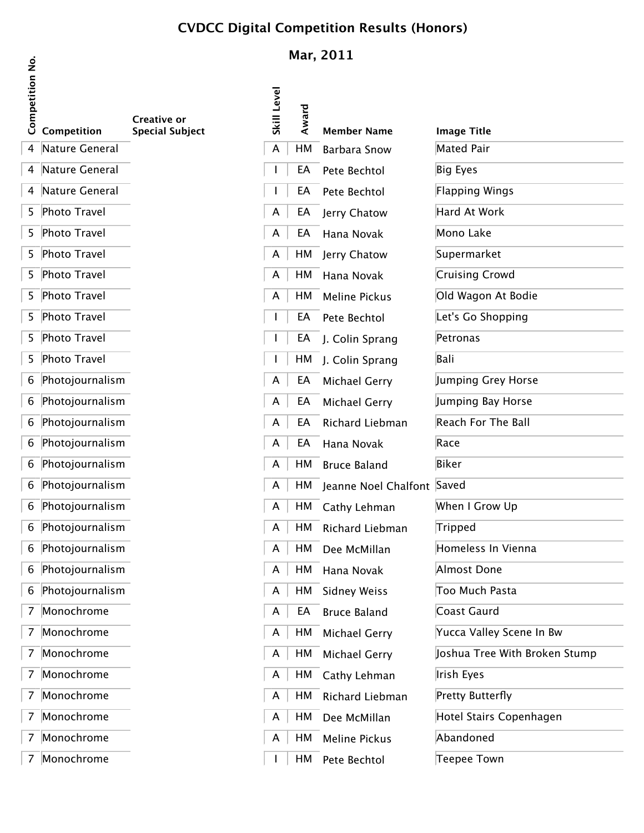# **CVDCC Digital Competition Results (Honors)**

| <b>Competition No.</b> | Competition           | Creative or<br><b>Special Subject</b> |
|------------------------|-----------------------|---------------------------------------|
| $\overline{4}$         | Nature General        |                                       |
| 4                      | <b>Nature General</b> |                                       |
| 4                      | Nature General        |                                       |
| 5                      | <b>Photo Travel</b>   |                                       |
| 5                      | <b>Photo Travel</b>   |                                       |
| 5                      | <b>Photo Travel</b>   |                                       |
| 5                      | <b>Photo Travel</b>   |                                       |
| 5                      | <b>Photo Travel</b>   |                                       |
| 5                      | <b>Photo Travel</b>   |                                       |
| 5                      | <b>Photo Travel</b>   |                                       |
| 5                      | <b>Photo Travel</b>   |                                       |
| 6                      | Photojournalism       |                                       |
| 6                      | Photojournalism       |                                       |
| 6                      | Photojournalism       |                                       |
| 6                      | Photojournalism       |                                       |
| 6                      | Photojournalism       |                                       |
| 6                      | Photojournalism       |                                       |
| 6                      | Photojournalism       |                                       |
| 6                      | Photojournalism       |                                       |
| 6                      | Photojournalism       |                                       |
| 6                      | Photojournalism       |                                       |
| 6                      | Photojournalism       |                                       |
| 7                      | Monochrome            |                                       |
| 7                      | Monochrome            |                                       |
| 7                      | Monochrome            |                                       |
| 7                      | Monochrome            |                                       |
| 7                      | Monochrome            |                                       |
| 7                      | Monochrome            |                                       |
| 7                      | Monochrome            |                                       |
|                        |                       |                                       |

| Monochrome |
|------------|
|            |

# **Mar, 2011**

| <u>:0</u><br>de<br>0 Competition<br>0 Competition | <b>Creative or</b>     | Skill Level | Award |                            |                                  |
|---------------------------------------------------|------------------------|-------------|-------|----------------------------|----------------------------------|
| 4 Nature General                                  | <b>Special Subject</b> |             | НM    | <b>Member Name</b>         | <b>Image Title</b><br>Mated Pair |
| 4 Nature General                                  |                        | A           |       | <b>Barbara Snow</b>        |                                  |
|                                                   |                        |             | EA    | Pete Bechtol               | Big Eyes                         |
| 4 Nature General                                  |                        |             | EA    | Pete Bechtol               | Flapping Wings                   |
| 5 Photo Travel                                    |                        | A           | EA    | Jerry Chatow               | Hard At Work                     |
| 5 Photo Travel                                    |                        | A           | EA    | Hana Novak                 | Mono Lake                        |
| 5 Photo Travel                                    |                        | A           |       | HM Jerry Chatow            | Supermarket                      |
| 5 Photo Travel                                    |                        | A           |       | HM Hana Novak              | Cruising Crowd                   |
| 5 Photo Travel                                    |                        | A           |       | HM Meline Pickus           | Old Wagon At Bodie               |
| 5 Photo Travel                                    |                        |             | EA    | Pete Bechtol               | Let's Go Shopping                |
| 5 Photo Travel                                    |                        |             | EA    | J. Colin Sprang            | Petronas                         |
| 5 Photo Travel                                    |                        |             |       | HM J. Colin Sprang         | Bali                             |
| 6 Photojournalism                                 |                        | A           | EA    | <b>Michael Gerry</b>       | Jumping Grey Horse               |
| 6 Photojournalism                                 |                        | A           | EA    | Michael Gerry              | Jumping Bay Horse                |
| 6 Photojournalism                                 |                        | A           | EA    | Richard Liebman            | Reach For The Ball               |
| 6 Photojournalism                                 |                        | A           | EA    | Hana Novak                 | Race                             |
| 6 Photojournalism                                 |                        | A           |       | HM Bruce Baland            | Biker                            |
| 6 Photojournalism                                 |                        | A           | HМ    | Jeanne Noel Chalfont Saved |                                  |
| 6 Photojournalism                                 |                        | A           | HМ    | Cathy Lehman               | When I Grow Up                   |
| 6 Photojournalism                                 |                        | A           | HМ    | Richard Liebman            | Tripped                          |
| 6 Photojournalism                                 |                        | A           | HМ    | Dee McMillan               | Homeless In Vienna               |
| 6 Photojournalism                                 |                        | A           | НM    | Hana Novak                 | Almost Done                      |
| 6 Photojournalism                                 |                        | A           | HM    | <b>Sidney Weiss</b>        | Too Much Pasta                   |
| 7 Monochrome                                      |                        | A           | EA    | <b>Bruce Baland</b>        | Coast Gaurd                      |
| 7 Monochrome                                      |                        | A           | HМ    | <b>Michael Gerry</b>       | Yucca Valley Scene In Bw         |
| 7 Monochrome                                      |                        | A           | HМ    | Michael Gerry              | Joshua Tree With Broken Stump    |
| 7 Monochrome                                      |                        | A           | HМ    | Cathy Lehman               | Irish Eyes                       |
| 7 Monochrome                                      |                        | A           | HМ    | Richard Liebman            | Pretty Butterfly                 |
| 7 Monochrome                                      |                        | A           | HМ    | Dee McMillan               | Hotel Stairs Copenhagen          |
| 7 Monochrome                                      |                        | A           | HМ    | Meline Pickus              | Abandoned                        |
| 7 Monochrome                                      |                        |             | HМ    | Pete Bechtol               | <b>Teepee Town</b>               |

| image Title                   |
|-------------------------------|
| <b>Mated Pair</b>             |
| <b>Big Eyes</b>               |
| <b>Flapping Wings</b>         |
| <b>Hard At Work</b>           |
| Mono Lake                     |
| Supermarket                   |
| <b>Cruising Crowd</b>         |
| Old Wagon At Bodie            |
| Let's Go Shopping             |
| Petronas                      |
| Bali                          |
| Jumping Grey Horse            |
| Jumping Bay Horse             |
| <b>Reach For The Ball</b>     |
| Race                          |
| <b>Biker</b>                  |
| Saved                         |
| When I Grow Up                |
| Tripped                       |
| Homeless In Vienna            |
| Almost Done                   |
| Too Much Pasta                |
| Coast Gaurd                   |
| Yucca Valley Scene In Bw      |
| Joshua Tree With Broken Stump |
| Irish Eyes                    |
| <b>Pretty Butterfly</b>       |
| Hotel Stairs Copenhagen       |
| Abandoned                     |
| n                             |